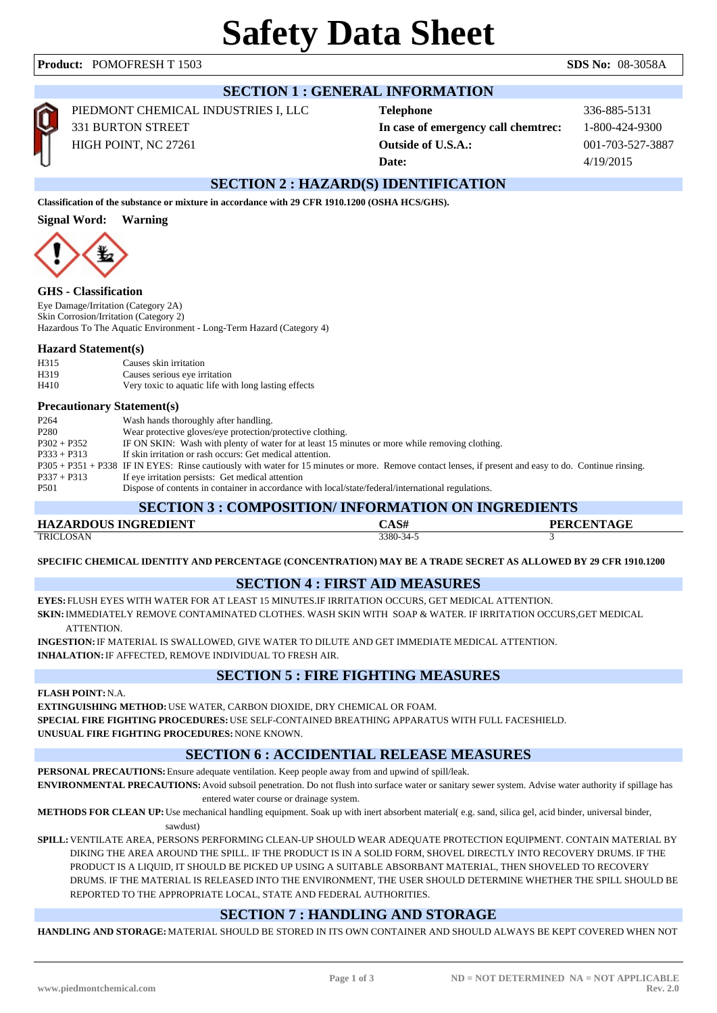| <b>SECTION 1 : GENERAL INFORMATION</b>                                                                         |                                                                                                                                                                                                                                      |                                                                                                    |                          |  |  |  |
|----------------------------------------------------------------------------------------------------------------|--------------------------------------------------------------------------------------------------------------------------------------------------------------------------------------------------------------------------------------|----------------------------------------------------------------------------------------------------|--------------------------|--|--|--|
|                                                                                                                | PIEDMONT CHEMICAL INDUSTRIES I, LLC                                                                                                                                                                                                  | <b>Telephone</b>                                                                                   | 336-885-5131             |  |  |  |
|                                                                                                                | <b>331 BURTON STREET</b>                                                                                                                                                                                                             | In case of emergency call chemtrec:                                                                | 1-800-424-9300           |  |  |  |
|                                                                                                                | HIGH POINT, NC 27261                                                                                                                                                                                                                 | <b>Outside of U.S.A.:</b>                                                                          | 001-703-527-3887         |  |  |  |
|                                                                                                                |                                                                                                                                                                                                                                      | Date:                                                                                              | 4/19/2015                |  |  |  |
|                                                                                                                |                                                                                                                                                                                                                                      | <b>SECTION 2: HAZARD(S) IDENTIFICATION</b>                                                         |                          |  |  |  |
| Classification of the substance or mixture in accordance with 29 CFR 1910.1200 (OSHA HCS/GHS).                 |                                                                                                                                                                                                                                      |                                                                                                    |                          |  |  |  |
| <b>Signal Word:</b><br><b>Warning</b>                                                                          |                                                                                                                                                                                                                                      |                                                                                                    |                          |  |  |  |
|                                                                                                                | <b>GHS</b> - Classification                                                                                                                                                                                                          |                                                                                                    |                          |  |  |  |
| Eye Damage/Irritation (Category 2A)                                                                            |                                                                                                                                                                                                                                      |                                                                                                    |                          |  |  |  |
| Skin Corrosion/Irritation (Category 2)<br>Hazardous To The Aquatic Environment - Long-Term Hazard (Category 4) |                                                                                                                                                                                                                                      |                                                                                                    |                          |  |  |  |
| <b>Hazard Statement(s)</b>                                                                                     |                                                                                                                                                                                                                                      |                                                                                                    |                          |  |  |  |
| H315                                                                                                           | Causes skin irritation                                                                                                                                                                                                               |                                                                                                    |                          |  |  |  |
| H319<br>H410                                                                                                   | Causes serious eye irritation<br>Very toxic to aquatic life with long lasting effects                                                                                                                                                |                                                                                                    |                          |  |  |  |
| <b>Precautionary Statement(s)</b>                                                                              |                                                                                                                                                                                                                                      |                                                                                                    |                          |  |  |  |
| P <sub>264</sub>                                                                                               | Wash hands thoroughly after handling.                                                                                                                                                                                                |                                                                                                    |                          |  |  |  |
| P <sub>280</sub>                                                                                               | Wear protective gloves/eye protection/protective clothing.                                                                                                                                                                           |                                                                                                    |                          |  |  |  |
|                                                                                                                | IF ON SKIN: Wash with plenty of water for at least 15 minutes or more while removing clothing.<br>$P302 + P352$                                                                                                                      |                                                                                                    |                          |  |  |  |
|                                                                                                                | If skin irritation or rash occurs: Get medical attention.<br>$P333 + P313$<br>P305 + P351 + P338 IF IN EYES: Rinse cautiously with water for 15 minutes or more. Remove contact lenses, if present and easy to do. Continue rinsing. |                                                                                                    |                          |  |  |  |
| $P337 + P313$                                                                                                  | If eye irritation persists: Get medical attention                                                                                                                                                                                    |                                                                                                    |                          |  |  |  |
| P501                                                                                                           |                                                                                                                                                                                                                                      | Dispose of contents in container in accordance with local/state/federal/international regulations. |                          |  |  |  |
| <b>SECTION 3 : COMPOSITION/ INFORMATION ON INGREDIENTS</b>                                                     |                                                                                                                                                                                                                                      |                                                                                                    |                          |  |  |  |
|                                                                                                                | <b>HAZARDOUS INGREDIENT</b>                                                                                                                                                                                                          | CAS#                                                                                               | <b>PERCENTAGE</b>        |  |  |  |
| <b>TRICLOSAN</b>                                                                                               |                                                                                                                                                                                                                                      | 3380-34-5                                                                                          | $\overline{\mathcal{R}}$ |  |  |  |

**SPECIFIC CHEMICAL IDENTITY AND PERCENTAGE (CONCENTRATION) MAY BE A TRADE SECRET AS ALLOWED BY 29 CFR 1910.1200**

## **SECTION 4 : FIRST AID MEASURES**

**EYES:** FLUSH EYES WITH WATER FOR AT LEAST 15 MINUTES.IF IRRITATION OCCURS, GET MEDICAL ATTENTION. **SKIN:**IMMEDIATELY REMOVE CONTAMINATED CLOTHES. WASH SKIN WITH SOAP & WATER. IF IRRITATION OCCURS,GET MEDICAL ATTENTION.

**INGESTION:**IF MATERIAL IS SWALLOWED, GIVE WATER TO DILUTE AND GET IMMEDIATE MEDICAL ATTENTION. **INHALATION:**IF AFFECTED, REMOVE INDIVIDUAL TO FRESH AIR.

# **SECTION 5 : FIRE FIGHTING MEASURES**

**FLASH POINT:**N.A.

**EXTINGUISHING METHOD:**USE WATER, CARBON DIOXIDE, DRY CHEMICAL OR FOAM. **SPECIAL FIRE FIGHTING PROCEDURES:**USE SELF-CONTAINED BREATHING APPARATUS WITH FULL FACESHIELD. **UNUSUAL FIRE FIGHTING PROCEDURES:**NONE KNOWN.

# **SECTION 6 : ACCIDENTIAL RELEASE MEASURES**

**PERSONAL PRECAUTIONS:**Ensure adequate ventilation. Keep people away from and upwind of spill/leak.

**ENVIRONMENTAL PRECAUTIONS:**Avoid subsoil penetration. Do not flush into surface water or sanitary sewer system. Advise water authority if spillage has entered water course or drainage system.

**METHODS FOR CLEAN UP:**Use mechanical handling equipment. Soak up with inert absorbent material( e.g. sand, silica gel, acid binder, universal binder, sawdust)

**SPILL:**VENTILATE AREA, PERSONS PERFORMING CLEAN-UP SHOULD WEAR ADEQUATE PROTECTION EQUIPMENT. CONTAIN MATERIAL BY DIKING THE AREA AROUND THE SPILL. IF THE PRODUCT IS IN A SOLID FORM, SHOVEL DIRECTLY INTO RECOVERY DRUMS. IF THE PRODUCT IS A LIQUID, IT SHOULD BE PICKED UP USING A SUITABLE ABSORBANT MATERIAL, THEN SHOVELED TO RECOVERY DRUMS. IF THE MATERIAL IS RELEASED INTO THE ENVIRONMENT, THE USER SHOULD DETERMINE WHETHER THE SPILL SHOULD BE REPORTED TO THE APPROPRIATE LOCAL, STATE AND FEDERAL AUTHORITIES.

## **SECTION 7 : HANDLING AND STORAGE**

**HANDLING AND STORAGE:**MATERIAL SHOULD BE STORED IN ITS OWN CONTAINER AND SHOULD ALWAYS BE KEPT COVERED WHEN NOT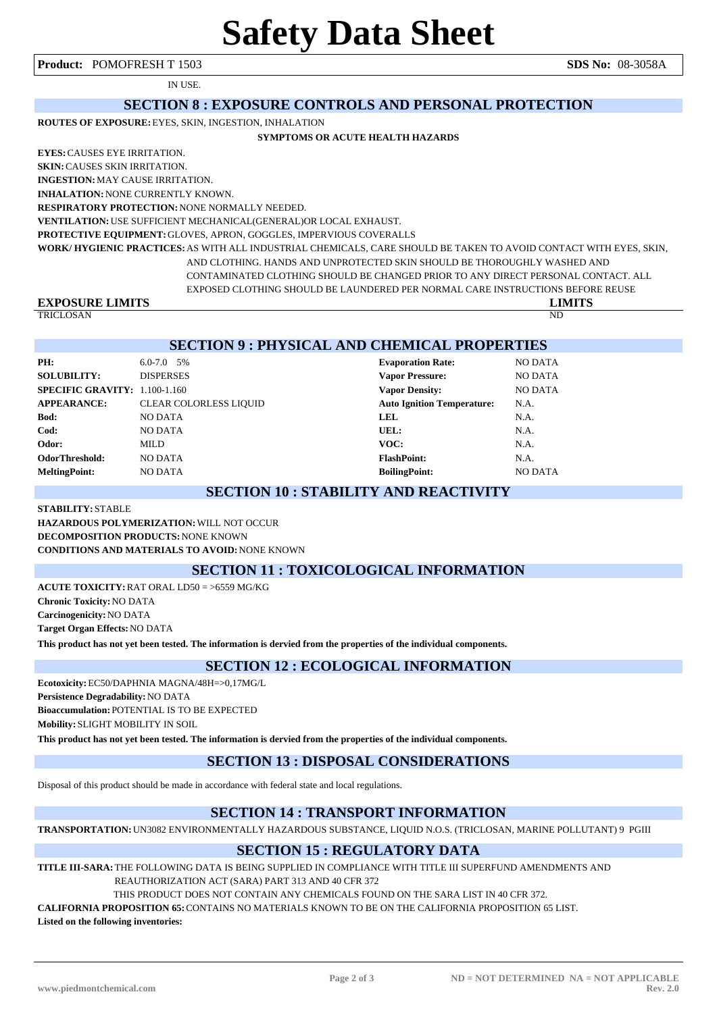**Product:** POMOFRESH T 1503 **SDS No:** 08-3058A

IN USE.

#### **SECTION 8 : EXPOSURE CONTROLS AND PERSONAL PROTECTION**

**ROUTES OF EXPOSURE:**EYES, SKIN, INGESTION, INHALATION

#### **SYMPTOMS OR ACUTE HEALTH HAZARDS**

**EYES:**CAUSES EYE IRRITATION.

**SKIN:**CAUSES SKIN IRRITATION.

**INGESTION:**MAY CAUSE IRRITATION. **INHALATION:**NONE CURRENTLY KNOWN.

**RESPIRATORY PROTECTION:**NONE NORMALLY NEEDED.

**VENTILATION:**USE SUFFICIENT MECHANICAL(GENERAL)OR LOCAL EXHAUST.

**PROTECTIVE EQUIPMENT:**GLOVES, APRON, GOGGLES, IMPERVIOUS COVERALLS

**WORK/ HYGIENIC PRACTICES:**AS WITH ALL INDUSTRIAL CHEMICALS, CARE SHOULD BE TAKEN TO AVOID CONTACT WITH EYES, SKIN, AND CLOTHING. HANDS AND UNPROTECTED SKIN SHOULD BE THOROUGHLY WASHED AND CONTAMINATED CLOTHING SHOULD BE CHANGED PRIOR TO ANY DIRECT PERSONAL CONTACT. ALL

EXPOSED CLOTHING SHOULD BE LAUNDERED PER NORMAL CARE INSTRUCTIONS BEFORE REUSE

# **EXPOSURE LIMITS LIMITS**

TRICLOSAN ND

#### **SECTION 9 : PHYSICAL AND CHEMICAL PROPERTIES**

| PH:                           | $6.0 - 7.0$ 5%                | <b>Evaporation Rate:</b>          | <b>NO DATA</b> |
|-------------------------------|-------------------------------|-----------------------------------|----------------|
| <b>SOLUBILITY:</b>            | <b>DISPERSES</b>              | <b>Vapor Pressure:</b>            | <b>NO DATA</b> |
| SPECIFIC GRAVITY: 1.100-1.160 |                               | <b>Vapor Density:</b>             | <b>NO DATA</b> |
| <b>APPEARANCE:</b>            | <b>CLEAR COLORLESS LIQUID</b> | <b>Auto Ignition Temperature:</b> | N.A.           |
| Bod:                          | <b>NO DATA</b>                | <b>LEL</b>                        | N.A.           |
| Cod:                          | <b>NO DATA</b>                | UEL:                              | N.A.           |
| Odor:                         | MILD                          | VOC:                              | N.A.           |
| <b>OdorThreshold:</b>         | <b>NO DATA</b>                | <b>FlashPoint:</b>                | N.A.           |
| <b>MeltingPoint:</b>          | <b>NO DATA</b>                | <b>BoilingPoint:</b>              | <b>NO DATA</b> |

#### **SECTION 10 : STABILITY AND REACTIVITY**

**STABILITY:** STABLE **HAZARDOUS POLYMERIZATION:**WILL NOT OCCUR **DECOMPOSITION PRODUCTS:**NONE KNOWN **CONDITIONS AND MATERIALS TO AVOID:**NONE KNOWN

#### **SECTION 11 : TOXICOLOGICAL INFORMATION**

**ACUTE TOXICITY:**RAT ORAL LD50 = >6559 MG/KG **Chronic Toxicity:**NO DATA **Carcinogenicity:**NO DATA **Target Organ Effects:**NO DATA **This product has not yet been tested. The information is dervied from the properties of the individual components.**

#### **SECTION 12 : ECOLOGICAL INFORMATION**

**Ecotoxicity:**EC50/DAPHNIA MAGNA/48H=>0,17MG/L **Persistence Degradability:**NO DATA **Bioaccumulation:** POTENTIAL IS TO BE EXPECTED **Mobility:** SLIGHT MOBILITY IN SOIL

**This product has not yet been tested. The information is dervied from the properties of the individual components.**

#### **SECTION 13 : DISPOSAL CONSIDERATIONS**

Disposal of this product should be made in accordance with federal state and local regulations.

#### **SECTION 14 : TRANSPORT INFORMATION**

**TRANSPORTATION:**UN3082 ENVIRONMENTALLY HAZARDOUS SUBSTANCE, LIQUID N.O.S. (TRICLOSAN, MARINE POLLUTANT) 9 PGIII

#### **SECTION 15 : REGULATORY DATA**

**TITLE III-SARA:**THE FOLLOWING DATA IS BEING SUPPLIED IN COMPLIANCE WITH TITLE III SUPERFUND AMENDMENTS AND REAUTHORIZATION ACT (SARA) PART 313 AND 40 CFR 372

THIS PRODUCT DOES NOT CONTAIN ANY CHEMICALS FOUND ON THE SARA LIST IN 40 CFR 372.

**CALIFORNIA PROPOSITION 65:**CONTAINS NO MATERIALS KNOWN TO BE ON THE CALIFORNIA PROPOSITION 65 LIST.

**Listed on the following inventories:**